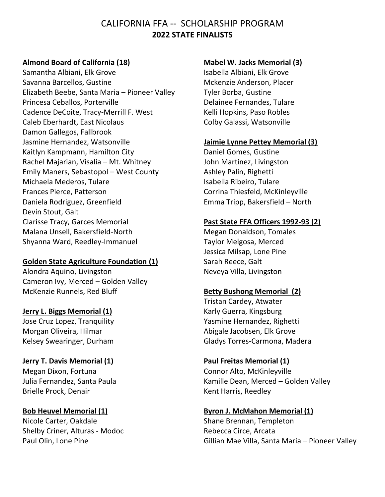# CALIFORNIA FFA -- SCHOLARSHIP PROGRAM **2022 STATE FINALISTS**

#### **Almond Board of California (18)**

Samantha Albiani, Elk Grove Savanna Barcellos, Gustine Elizabeth Beebe, Santa Maria – Pioneer Valley Princesa Ceballos, Porterville Cadence DeCoite, Tracy-Merrill F. West Caleb Eberhardt, East Nicolaus Damon Gallegos, Fallbrook Jasmine Hernandez, Watsonville Kaitlyn Kampmann, Hamilton City Rachel Majarian, Visalia – Mt. Whitney Emily Maners, Sebastopol – West County Michaela Mederos, Tulare Frances Pierce, Patterson Daniela Rodriguez, Greenfield Devin Stout, Galt Clarisse Tracy, Garces Memorial Malana Unsell, Bakersfield-North Shyanna Ward, Reedley-Immanuel

#### **Golden State Agriculture Foundation (1)**

Alondra Aquino, Livingston Cameron Ivy, Merced – Golden Valley McKenzie Runnels, Red Bluff

#### **Jerry L. Biggs Memorial (1)**

Jose Cruz Lopez, Tranquility Morgan Oliveira, Hilmar Kelsey Swearinger, Durham

#### **Jerry T. Davis Memorial (1)**

Megan Dixon, Fortuna Julia Fernandez, Santa Paula Brielle Prock, Denair

## **Bob Heuvel Memorial (1)**

Nicole Carter, Oakdale Shelby Criner, Alturas - Modoc Paul Olin, Lone Pine

#### **Mabel W. Jacks Memorial (3)**

Isabella Albiani, Elk Grove Mckenzie Anderson, Placer Tyler Borba, Gustine Delainee Fernandes, Tulare Kelli Hopkins, Paso Robles Colby Galassi, Watsonville

#### **Jaimie Lynne Pettey Memorial (3)**

Daniel Gomes, Gustine John Martinez, Livingston Ashley Palin, Righetti Isabella Ribeiro, Tulare Corrina Thiesfeld, McKinleyville Emma Tripp, Bakersfield – North

#### **Past State FFA Officers 1992-93 (2)**

Megan Donaldson, Tomales Taylor Melgosa, Merced Jessica Milsap, Lone Pine Sarah Reece, Galt Neveya Villa, Livingston

#### **Betty Bushong Memorial (2)**

Tristan Cardey, Atwater Karly Guerra, Kingsburg Yasmine Hernandez, Righetti Abigale Jacobsen, Elk Grove Gladys Torres-Carmona, Madera

#### **Paul Freitas Memorial (1)**

Connor Alto, McKinleyville Kamille Dean, Merced – Golden Valley Kent Harris, Reedley

#### **Byron J. McMahon Memorial (1)**

Shane Brennan, Templeton Rebecca Circe, Arcata Gillian Mae Villa, Santa Maria – Pioneer Valley